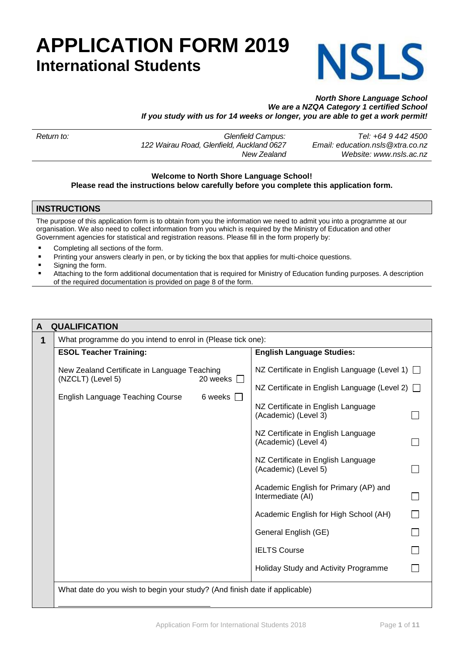# **APPLICATION FORM 2019 International Students**



## *North Shore Language School We are a NZQA Category 1 certified School If you study with us for 14 weeks or longer, you are able to get a work permit!*

| Return to: | Glenfield Campus:                         | Tel: +64 9 442 4500              |
|------------|-------------------------------------------|----------------------------------|
|            | 122 Wairau Road, Glenfield, Auckland 0627 | Email: education.nsls@xtra.co.nz |
|            | New Zealand                               | Website: www.nsls.ac.nz          |

### **Welcome to North Shore Language School! Please read the instructions below carefully before you complete this application form.**

## **INSTRUCTIONS**

The purpose of this application form is to obtain from you the information we need to admit you into a programme at our organisation. We also need to collect information from you which is required by the Ministry of Education and other Government agencies for statistical and registration reasons. Please fill in the form properly by:

- Completing all sections of the form.
- Printing your answers clearly in pen, or by ticking the box that applies for multi-choice questions.
- Signing the form.
- Attaching to the form additional documentation that is required for Ministry of Education funding purposes. A description of the required documentation is provided on page 8 of the form.

| A | <b>QUALIFICATION</b>                                                          |                                                            |  |  |  |
|---|-------------------------------------------------------------------------------|------------------------------------------------------------|--|--|--|
| 1 | What programme do you intend to enrol in (Please tick one):                   |                                                            |  |  |  |
|   | <b>ESOL Teacher Training:</b>                                                 | <b>English Language Studies:</b>                           |  |  |  |
|   | New Zealand Certificate in Language Teaching<br>(NZCLT) (Level 5)<br>20 weeks | NZ Certificate in English Language (Level 1) □             |  |  |  |
|   | English Language Teaching Course<br>6 weeks $\Box$                            | NZ Certificate in English Language (Level 2) □             |  |  |  |
|   |                                                                               | NZ Certificate in English Language<br>(Academic) (Level 3) |  |  |  |
|   |                                                                               | NZ Certificate in English Language<br>(Academic) (Level 4) |  |  |  |
|   |                                                                               | NZ Certificate in English Language<br>(Academic) (Level 5) |  |  |  |
|   |                                                                               | Academic English for Primary (AP) and<br>Intermediate (AI) |  |  |  |
|   |                                                                               | Academic English for High School (AH)                      |  |  |  |
|   |                                                                               | General English (GE)                                       |  |  |  |
|   |                                                                               | <b>IELTS Course</b>                                        |  |  |  |
|   |                                                                               | Holiday Study and Activity Programme                       |  |  |  |
|   | What date do you wish to begin your study? (And finish date if applicable)    |                                                            |  |  |  |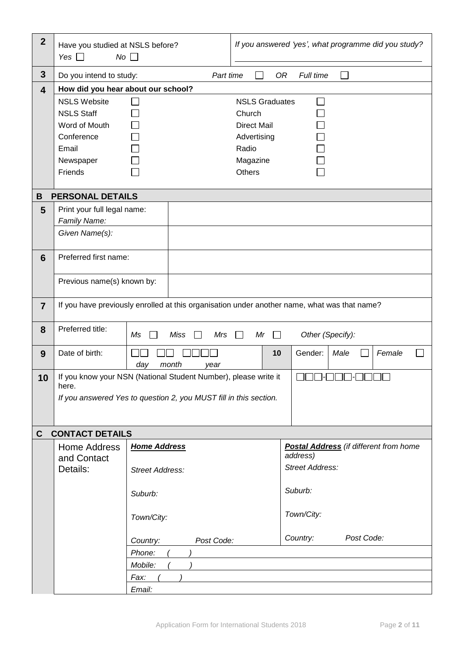| $\mathbf{2}$            | Have you studied at NSLS before?<br>$No$ $\Box$<br>Yes $\Box$                                            |                                                                                                      | If you answered 'yes', what programme did you study?                                                |                                                                                              |  |
|-------------------------|----------------------------------------------------------------------------------------------------------|------------------------------------------------------------------------------------------------------|-----------------------------------------------------------------------------------------------------|----------------------------------------------------------------------------------------------|--|
| $\mathbf{3}$            | Do you intend to study:                                                                                  | Part time                                                                                            |                                                                                                     | Full time<br>0R<br>$\sim$                                                                    |  |
| $\overline{\mathbf{4}}$ | How did you hear about our school?                                                                       |                                                                                                      |                                                                                                     |                                                                                              |  |
|                         | <b>NSLS Website</b><br><b>NSLS Staff</b><br>Word of Mouth<br>Conference<br>Email<br>Newspaper<br>Friends |                                                                                                      | <b>NSLS Graduates</b><br>Church<br><b>Direct Mail</b><br>Advertising<br>Radio<br>Magazine<br>Others |                                                                                              |  |
| B                       | <b>PERSONAL DETAILS</b>                                                                                  |                                                                                                      |                                                                                                     |                                                                                              |  |
| 5                       | Print your full legal name:                                                                              |                                                                                                      |                                                                                                     |                                                                                              |  |
|                         | Family Name:                                                                                             |                                                                                                      |                                                                                                     |                                                                                              |  |
|                         | Given Name(s):                                                                                           |                                                                                                      |                                                                                                     |                                                                                              |  |
| $6\phantom{1}$          | Preferred first name:                                                                                    |                                                                                                      |                                                                                                     |                                                                                              |  |
|                         | Previous name(s) known by:                                                                               |                                                                                                      |                                                                                                     |                                                                                              |  |
| $\overline{7}$          |                                                                                                          |                                                                                                      |                                                                                                     | If you have previously enrolled at this organisation under another name, what was that name? |  |
| 8                       | Preferred title:                                                                                         | <b>Miss</b><br>Mr<br>Other (Specify):<br>Ms<br>Mrs<br>$\mathsf{L}$<br>$\mathbf{1}$<br>$\blacksquare$ |                                                                                                     |                                                                                              |  |
| 9                       | Date of birth:                                                                                           | month<br>day<br>vear                                                                                 |                                                                                                     | 10<br>Gender:<br>Male<br>Female                                                              |  |
| 10                      | here.                                                                                                    | If you know your NSN (National Student Number), please write it                                      |                                                                                                     |                                                                                              |  |
|                         |                                                                                                          | If you answered Yes to question 2, you MUST fill in this section.                                    |                                                                                                     |                                                                                              |  |
|                         |                                                                                                          |                                                                                                      |                                                                                                     |                                                                                              |  |
| C                       | <b>CONTACT DETAILS</b>                                                                                   |                                                                                                      |                                                                                                     |                                                                                              |  |
|                         | <b>Home Address</b>                                                                                      | <b>Home Address</b>                                                                                  |                                                                                                     | <b>Postal Address</b> (if different from home                                                |  |
|                         | and Contact<br>Details:                                                                                  |                                                                                                      |                                                                                                     | address)<br><b>Street Address:</b>                                                           |  |
|                         |                                                                                                          | Street Address:                                                                                      |                                                                                                     |                                                                                              |  |
|                         |                                                                                                          | Suburb:                                                                                              |                                                                                                     | Suburb:                                                                                      |  |
|                         |                                                                                                          | Town/City:                                                                                           |                                                                                                     | Town/City:                                                                                   |  |
|                         |                                                                                                          | Post Code:<br>Country:                                                                               |                                                                                                     | Post Code:<br>Country:                                                                       |  |
|                         |                                                                                                          | Phone:                                                                                               |                                                                                                     |                                                                                              |  |
|                         |                                                                                                          | Mobile:                                                                                              |                                                                                                     |                                                                                              |  |
|                         |                                                                                                          | Fax:                                                                                                 |                                                                                                     |                                                                                              |  |
|                         |                                                                                                          | Email:                                                                                               |                                                                                                     |                                                                                              |  |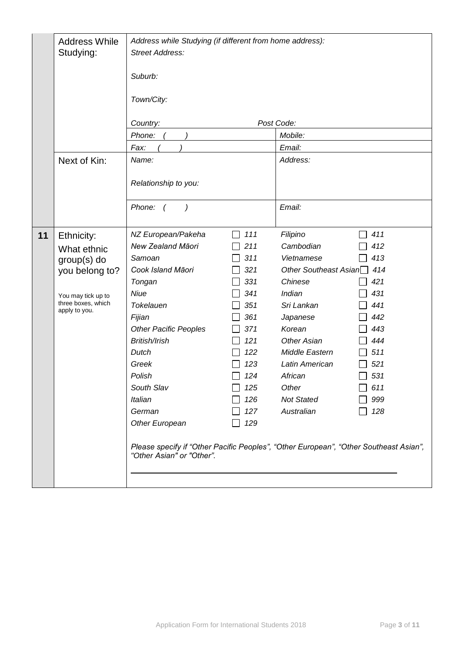|    | <b>Address While</b><br>Studying:                                                                                         | Address while Studying (if different from home address):<br><b>Street Address:</b><br>Suburb:<br>Town/City:<br>Post Code:<br>Country:<br>Mobile:<br>Phone:<br>Email:<br>Fax:                                                                                                                                                                                            |                                                                                                                     |                                                                                                                                                                                                                                                         |                                                                                                       |
|----|---------------------------------------------------------------------------------------------------------------------------|-------------------------------------------------------------------------------------------------------------------------------------------------------------------------------------------------------------------------------------------------------------------------------------------------------------------------------------------------------------------------|---------------------------------------------------------------------------------------------------------------------|---------------------------------------------------------------------------------------------------------------------------------------------------------------------------------------------------------------------------------------------------------|-------------------------------------------------------------------------------------------------------|
|    | Next of Kin:                                                                                                              | Name:<br>Relationship to you:<br>Phone: (<br>$\left( \right)$                                                                                                                                                                                                                                                                                                           |                                                                                                                     | Address:<br>Email:                                                                                                                                                                                                                                      |                                                                                                       |
|    |                                                                                                                           |                                                                                                                                                                                                                                                                                                                                                                         |                                                                                                                     |                                                                                                                                                                                                                                                         |                                                                                                       |
| 11 | Ethnicity:<br>What ethnic<br>$group(s)$ do<br>you belong to?<br>You may tick up to<br>three boxes, which<br>apply to you. | NZ European/Pakeha<br>New Zealand Māori<br>Samoan<br>Cook Island Māori<br>Tongan<br>Niue<br>Tokelauen<br>Fijian<br><b>Other Pacific Peoples</b><br>British/Irish<br>Dutch<br>Greek<br>Polish<br>South Slav<br>Italian<br>German<br>Other European<br>Please specify if "Other Pacific Peoples", "Other European", "Other Southeast Asian",<br>"Other Asian" or "Other". | 111<br>211<br>311<br>321<br>331<br>341<br>351<br>361<br>371<br>121<br>122<br>123<br>124<br>125<br>126<br>127<br>129 | Filipino<br>Cambodian<br>Vietnamese<br>Other Southeast Asian <sup>1</sup> 414<br>Chinese<br>Indian<br>Sri Lankan<br>Japanese<br>Korean<br><b>Other Asian</b><br>Middle Eastern<br>Latin American<br>African<br>Other<br><b>Not Stated</b><br>Australian | 411<br>412<br>413<br>421<br>431<br>441<br>442<br>443<br>444<br>511<br>521<br>531<br>611<br>999<br>128 |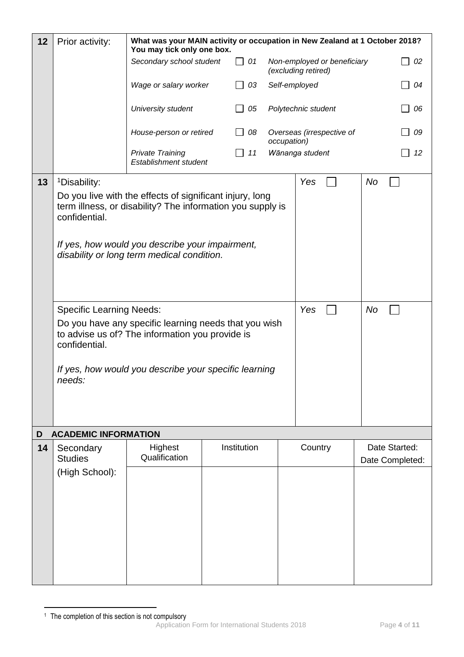| 12      | Prior activity:                                                                                         | What was your MAIN activity or occupation in New Zealand at 1 October 2018?<br>You may tick only one box.                                                                                                                                                                                                                                                                                    |  |                         |               |                                                    |          |                 |
|---------|---------------------------------------------------------------------------------------------------------|----------------------------------------------------------------------------------------------------------------------------------------------------------------------------------------------------------------------------------------------------------------------------------------------------------------------------------------------------------------------------------------------|--|-------------------------|---------------|----------------------------------------------------|----------|-----------------|
|         |                                                                                                         | Secondary school student                                                                                                                                                                                                                                                                                                                                                                     |  | $\Box$ 01               |               | Non-employed or beneficiary<br>(excluding retired) |          | 02              |
|         |                                                                                                         | Wage or salary worker                                                                                                                                                                                                                                                                                                                                                                        |  | $\Box$ 03               | Self-employed |                                                    |          | 04              |
|         |                                                                                                         | University student                                                                                                                                                                                                                                                                                                                                                                           |  | 05<br>$\Box$            |               | Polytechnic student                                |          | 06              |
|         |                                                                                                         | House-person or retired                                                                                                                                                                                                                                                                                                                                                                      |  | $\Box$<br>08            | occupation)   | Overseas (irrespective of                          |          | 09              |
|         |                                                                                                         | <b>Private Training</b><br>Establishment student                                                                                                                                                                                                                                                                                                                                             |  | 11<br>$\vert \ \ \vert$ |               | Wānanga student                                    |          | 12              |
| 13      | <sup>1</sup> Disability:<br>confidential.<br><b>Specific Learning Needs:</b><br>confidential.<br>needs: | Do you live with the effects of significant injury, long<br>term illness, or disability? The information you supply is<br>If yes, how would you describe your impairment,<br>disability or long term medical condition.<br>Do you have any specific learning needs that you wish<br>to advise us of? The information you provide is<br>If yes, how would you describe your specific learning |  |                         |               | Yes<br>Yes                                         | No<br>No |                 |
|         |                                                                                                         |                                                                                                                                                                                                                                                                                                                                                                                              |  |                         |               |                                                    |          |                 |
| D<br>14 | <b>ACADEMIC INFORMATION</b><br>Secondary                                                                | Highest                                                                                                                                                                                                                                                                                                                                                                                      |  | Institution             |               | Country                                            |          | Date Started:   |
|         | <b>Studies</b>                                                                                          | Qualification                                                                                                                                                                                                                                                                                                                                                                                |  |                         |               |                                                    |          | Date Completed: |
|         | (High School):                                                                                          |                                                                                                                                                                                                                                                                                                                                                                                              |  |                         |               |                                                    |          |                 |

Application Form for International Students 2018 Page **4** of **11** 1 <sup>1</sup> The completion of this section is not compulsory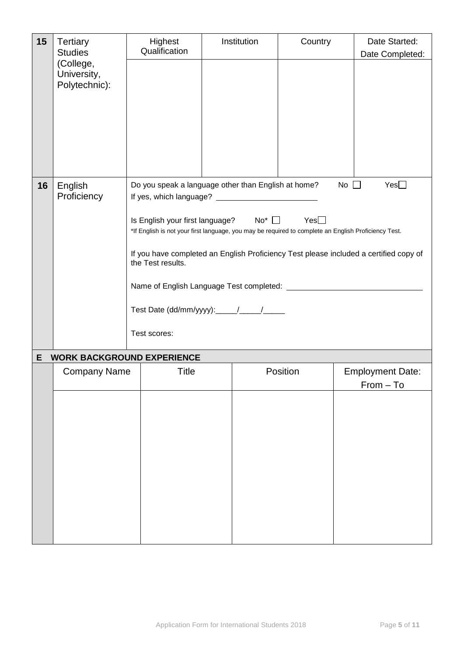| 15 | <b>Tertiary</b><br><b>Studies</b><br>(College,<br>University,<br>Polytechnic): | Highest<br>Qualification          | Institution                                                                                                                                                    | Country     | Date Started:<br>Date Completed:       |  |  |
|----|--------------------------------------------------------------------------------|-----------------------------------|----------------------------------------------------------------------------------------------------------------------------------------------------------------|-------------|----------------------------------------|--|--|
|    |                                                                                |                                   |                                                                                                                                                                |             |                                        |  |  |
|    |                                                                                |                                   |                                                                                                                                                                |             |                                        |  |  |
|    |                                                                                |                                   |                                                                                                                                                                |             |                                        |  |  |
|    |                                                                                |                                   |                                                                                                                                                                |             |                                        |  |  |
| 16 | English<br>Proficiency                                                         |                                   | Do you speak a language other than English at home?                                                                                                            | $No$ $\Box$ | Yes                                    |  |  |
|    |                                                                                |                                   | Is English your first language? No <sup>*</sup> □ Yes□<br>*If English is not your first language, you may be required to complete an English Proficiency Test. |             |                                        |  |  |
|    |                                                                                | the Test results.                 | If you have completed an English Proficiency Test please included a certified copy of                                                                          |             |                                        |  |  |
|    |                                                                                |                                   |                                                                                                                                                                |             |                                        |  |  |
|    |                                                                                |                                   |                                                                                                                                                                |             |                                        |  |  |
|    |                                                                                | Test scores:                      |                                                                                                                                                                |             |                                        |  |  |
| Е  |                                                                                | <b>WORK BACKGROUND EXPERIENCE</b> |                                                                                                                                                                |             |                                        |  |  |
|    | <b>Company Name</b>                                                            | <b>Title</b>                      |                                                                                                                                                                | Position    | <b>Employment Date:</b><br>$From - To$ |  |  |
|    |                                                                                |                                   |                                                                                                                                                                |             |                                        |  |  |
|    |                                                                                |                                   |                                                                                                                                                                |             |                                        |  |  |
|    |                                                                                |                                   |                                                                                                                                                                |             |                                        |  |  |
|    |                                                                                |                                   |                                                                                                                                                                |             |                                        |  |  |
|    |                                                                                |                                   |                                                                                                                                                                |             |                                        |  |  |
|    |                                                                                |                                   |                                                                                                                                                                |             |                                        |  |  |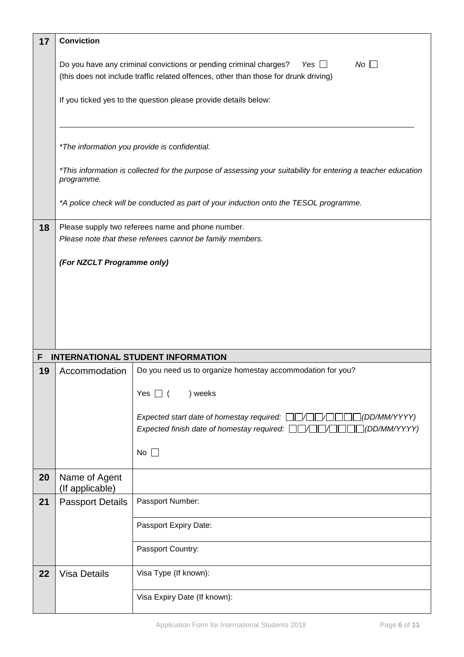| 17 | <b>Conviction</b>                                                                                                                                                             |                                                                                                                                                                                    |  |  |  |  |
|----|-------------------------------------------------------------------------------------------------------------------------------------------------------------------------------|------------------------------------------------------------------------------------------------------------------------------------------------------------------------------------|--|--|--|--|
|    | No<br>Do you have any criminal convictions or pending criminal charges?<br>Yes $\Box$<br>(this does not include traffic related offences, other than those for drunk driving) |                                                                                                                                                                                    |  |  |  |  |
|    |                                                                                                                                                                               | If you ticked yes to the question please provide details below:                                                                                                                    |  |  |  |  |
|    |                                                                                                                                                                               | *The information you provide is confidential.                                                                                                                                      |  |  |  |  |
|    | programme.                                                                                                                                                                    | *This information is collected for the purpose of assessing your suitability for entering a teacher education                                                                      |  |  |  |  |
|    |                                                                                                                                                                               | *A police check will be conducted as part of your induction onto the TESOL programme.                                                                                              |  |  |  |  |
| 18 |                                                                                                                                                                               | Please supply two referees name and phone number.<br>Please note that these referees cannot be family members.                                                                     |  |  |  |  |
|    | (For NZCLT Programme only)                                                                                                                                                    |                                                                                                                                                                                    |  |  |  |  |
|    |                                                                                                                                                                               |                                                                                                                                                                                    |  |  |  |  |
|    |                                                                                                                                                                               |                                                                                                                                                                                    |  |  |  |  |
|    |                                                                                                                                                                               |                                                                                                                                                                                    |  |  |  |  |
| F  |                                                                                                                                                                               | <b>INTERNATIONAL STUDENT INFORMATION</b>                                                                                                                                           |  |  |  |  |
| 19 | Accommodation                                                                                                                                                                 | Do you need us to organize homestay accommodation for you?                                                                                                                         |  |  |  |  |
|    |                                                                                                                                                                               | Yes $\Box$ (<br>) weeks                                                                                                                                                            |  |  |  |  |
|    |                                                                                                                                                                               | $\Box$ (DD/MM/YYYY)<br>Expected start date of homestay required: $\Box$ $\Box$ $\Box$ $\Box$<br>Expected finish date of homestay required: $\Box\Box\Box\Box\Box$<br>□(DD/MM/YYYY) |  |  |  |  |
|    |                                                                                                                                                                               | No $\Box$                                                                                                                                                                          |  |  |  |  |
| 20 | Name of Agent<br>(If applicable)                                                                                                                                              |                                                                                                                                                                                    |  |  |  |  |
| 21 | <b>Passport Details</b>                                                                                                                                                       | Passport Number:                                                                                                                                                                   |  |  |  |  |
|    |                                                                                                                                                                               | Passport Expiry Date:                                                                                                                                                              |  |  |  |  |
|    |                                                                                                                                                                               | Passport Country:                                                                                                                                                                  |  |  |  |  |
| 22 | <b>Visa Details</b>                                                                                                                                                           | Visa Type (If known):                                                                                                                                                              |  |  |  |  |
|    |                                                                                                                                                                               | Visa Expiry Date (If known):                                                                                                                                                       |  |  |  |  |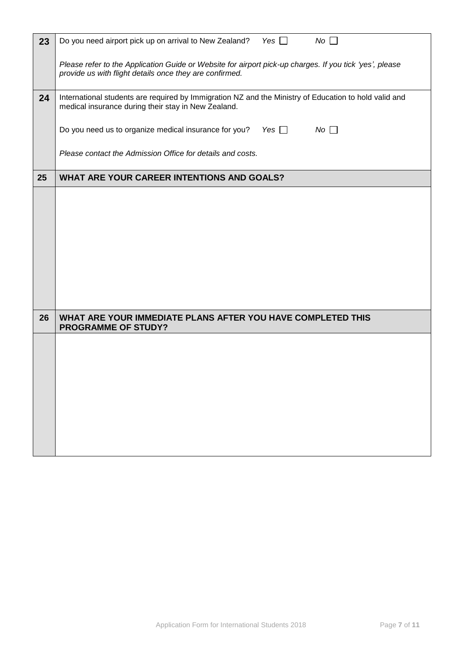| 23 | Yes $\Box$<br>No<br>Do you need airport pick up on arrival to New Zealand?                                                                                         |
|----|--------------------------------------------------------------------------------------------------------------------------------------------------------------------|
|    | Please refer to the Application Guide or Website for airport pick-up charges. If you tick 'yes', please<br>provide us with flight details once they are confirmed. |
| 24 | International students are required by Immigration NZ and the Ministry of Education to hold valid and<br>medical insurance during their stay in New Zealand.       |
|    | Do you need us to organize medical insurance for you?<br>Yes $\Box$<br>$No \Box$                                                                                   |
|    | Please contact the Admission Office for details and costs.                                                                                                         |
| 25 | WHAT ARE YOUR CAREER INTENTIONS AND GOALS?                                                                                                                         |
|    |                                                                                                                                                                    |
|    |                                                                                                                                                                    |
|    |                                                                                                                                                                    |
|    |                                                                                                                                                                    |
|    |                                                                                                                                                                    |
|    |                                                                                                                                                                    |
| 26 | WHAT ARE YOUR IMMEDIATE PLANS AFTER YOU HAVE COMPLETED THIS<br><b>PROGRAMME OF STUDY?</b>                                                                          |
|    |                                                                                                                                                                    |
|    |                                                                                                                                                                    |
|    |                                                                                                                                                                    |
|    |                                                                                                                                                                    |
|    |                                                                                                                                                                    |
|    |                                                                                                                                                                    |
|    |                                                                                                                                                                    |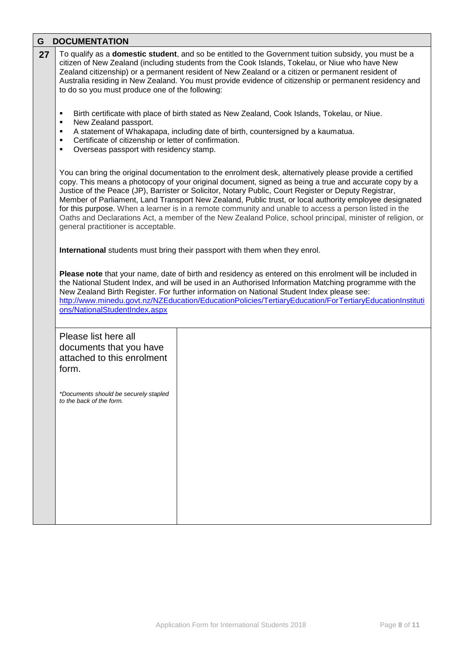| G  | <b>DOCUMENTATION</b>                                                                                                                                                                                                                                                                                                                                                                                                                                                                                                                                                                                                                                                                               |  |  |  |  |  |
|----|----------------------------------------------------------------------------------------------------------------------------------------------------------------------------------------------------------------------------------------------------------------------------------------------------------------------------------------------------------------------------------------------------------------------------------------------------------------------------------------------------------------------------------------------------------------------------------------------------------------------------------------------------------------------------------------------------|--|--|--|--|--|
| 27 | To qualify as a <b>domestic student</b> , and so be entitled to the Government tuition subsidy, you must be a<br>citizen of New Zealand (including students from the Cook Islands, Tokelau, or Niue who have New<br>Zealand citizenship) or a permanent resident of New Zealand or a citizen or permanent resident of<br>Australia residing in New Zealand. You must provide evidence of citizenship or permanent residency and<br>to do so you must produce one of the following:                                                                                                                                                                                                                 |  |  |  |  |  |
|    | Birth certificate with place of birth stated as New Zealand, Cook Islands, Tokelau, or Niue.<br>٠<br>New Zealand passport.<br>٠<br>A statement of Whakapapa, including date of birth, countersigned by a kaumatua.<br>٠<br>Certificate of citizenship or letter of confirmation.<br>٠<br>Overseas passport with residency stamp.<br>٠                                                                                                                                                                                                                                                                                                                                                              |  |  |  |  |  |
|    | You can bring the original documentation to the enrolment desk, alternatively please provide a certified<br>copy. This means a photocopy of your original document, signed as being a true and accurate copy by a<br>Justice of the Peace (JP), Barrister or Solicitor, Notary Public, Court Register or Deputy Registrar,<br>Member of Parliament, Land Transport New Zealand, Public trust, or local authority employee designated<br>for this purpose. When a learner is in a remote community and unable to access a person listed in the<br>Oaths and Declarations Act, a member of the New Zealand Police, school principal, minister of religion, or<br>general practitioner is acceptable. |  |  |  |  |  |
|    | International students must bring their passport with them when they enrol.                                                                                                                                                                                                                                                                                                                                                                                                                                                                                                                                                                                                                        |  |  |  |  |  |
|    | Please note that your name, date of birth and residency as entered on this enrolment will be included in<br>the National Student Index, and will be used in an Authorised Information Matching programme with the<br>New Zealand Birth Register. For further information on National Student Index please see:<br>http://www.minedu.govt.nz/NZEducation/EducationPolicies/TertiaryEducation/ForTertiaryEducationInstituti<br>ons/NationalStudentIndex.aspx                                                                                                                                                                                                                                         |  |  |  |  |  |
|    | Please list here all<br>documents that you have<br>attached to this enrolment<br>form.<br>*Documents should be securely stapled<br>to the back of the form.                                                                                                                                                                                                                                                                                                                                                                                                                                                                                                                                        |  |  |  |  |  |
|    |                                                                                                                                                                                                                                                                                                                                                                                                                                                                                                                                                                                                                                                                                                    |  |  |  |  |  |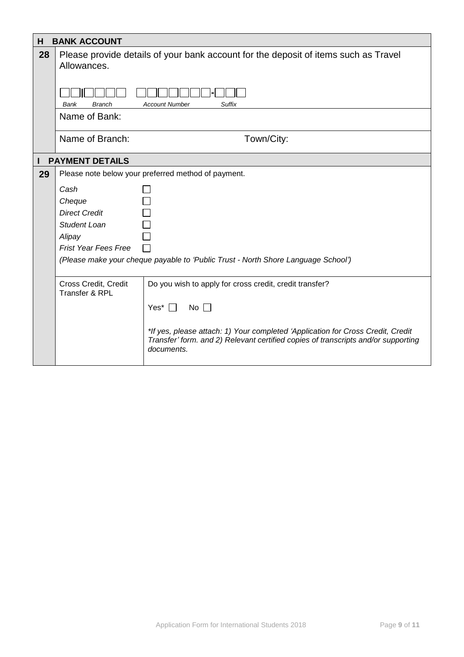| н  | <b>BANK ACCOUNT</b>                                                                                |                                                                                                                                                                                    |  |  |  |
|----|----------------------------------------------------------------------------------------------------|------------------------------------------------------------------------------------------------------------------------------------------------------------------------------------|--|--|--|
| 28 | Please provide details of your bank account for the deposit of items such as Travel<br>Allowances. |                                                                                                                                                                                    |  |  |  |
|    | <b>Suffix</b><br><b>Branch</b><br><b>Account Number</b><br>Bank                                    |                                                                                                                                                                                    |  |  |  |
|    | Name of Bank:                                                                                      |                                                                                                                                                                                    |  |  |  |
|    | Name of Branch:                                                                                    | Town/City:                                                                                                                                                                         |  |  |  |
|    | <b>PAYMENT DETAILS</b>                                                                             |                                                                                                                                                                                    |  |  |  |
| 29 |                                                                                                    | Please note below your preferred method of payment.                                                                                                                                |  |  |  |
|    | Cash                                                                                               |                                                                                                                                                                                    |  |  |  |
|    | Cheque                                                                                             |                                                                                                                                                                                    |  |  |  |
|    | <b>Direct Credit</b>                                                                               |                                                                                                                                                                                    |  |  |  |
|    | <b>Student Loan</b>                                                                                |                                                                                                                                                                                    |  |  |  |
|    | Alipay                                                                                             |                                                                                                                                                                                    |  |  |  |
|    | <b>Frist Year Fees Free</b>                                                                        |                                                                                                                                                                                    |  |  |  |
|    |                                                                                                    | (Please make your cheque payable to 'Public Trust - North Shore Language School')                                                                                                  |  |  |  |
|    | Cross Credit, Credit<br>Do you wish to apply for cross credit, credit transfer?<br>Transfer & RPL  |                                                                                                                                                                                    |  |  |  |
|    |                                                                                                    | Yes* $\Box$<br>No $\Box$                                                                                                                                                           |  |  |  |
|    |                                                                                                    | *If yes, please attach: 1) Your completed 'Application for Cross Credit, Credit<br>Transfer' form. and 2) Relevant certified copies of transcripts and/or supporting<br>documents. |  |  |  |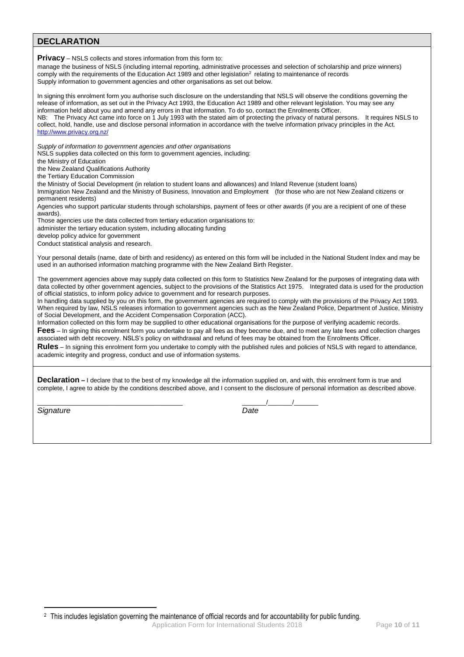# **DECLARATION**

**Privacy** – NSLS collects and stores information from this form to: manage the business of NSLS (including internal reporting, administrative processes and selection of scholarship and prize winners)  $\sim$  comply with the requirements of the Education Act 1989 and other legislation<sup>2</sup> relating to maintenance of records Supply information to government agencies and other organisations as set out below. In signing this enrolment form you authorise such disclosure on the understanding that NSLS will observe the conditions governing the release of information, as set out in the Privacy Act 1993, the Education Act 1989 and other relevant legislation. You may see any information held about you and amend any errors in that information. To do so, contact the Enrolments Officer. NB: The Privacy Act came into force on 1 July 1993 with the stated aim of protecting the privacy of natural persons. It requires NSLS to collect, hold, handle, use and disclose personal information in accordance with the twelve information privacy principles in the Act. <http://www.privacy.org.nz/> *Supply of information to government agencies and other organisations* NSLS supplies data collected on this form to government agencies, including: the Ministry of Education the New Zealand Qualifications Authority the Tertiary Education Commission the Ministry of Social Development (in relation to student loans and allowances) and Inland Revenue (student loans) Immigration New Zealand and the Ministry of Business, Innovation and Employment (for those who are not New Zealand citizens or permanent residents) Agencies who support particular students through scholarships, payment of fees or other awards (if you are a recipient of one of these awards). Those agencies use the data collected from tertiary education organisations to: administer the tertiary education system, including allocating funding develop policy advice for government Conduct statistical analysis and research. Your personal details (name, date of birth and residency) as entered on this form will be included in the National Student Index and may be used in an authorised information matching programme with the New Zealand Birth Register. The government agencies above may supply data collected on this form to Statistics New Zealand for the purposes of integrating data with data collected by other government agencies, subject to the provisions of the Statistics Act 1975. Integrated data is used for the production of official statistics, to inform policy advice to government and for research purposes. In handling data supplied by you on this form, the government agencies are required to comply with the provisions of the Privacy Act 1993. When required by law, NSLS releases information to government agencies such as the New Zealand Police, Department of Justice, Ministry of Social Development, and the Accident Compensation Corporation (ACC). Information collected on this form may be supplied to other educational organisations for the purpose of verifying academic records. **Fees** – In signing this enrolment form you undertake to pay all fees as they become due, and to meet any late fees and collection charges associated with debt recovery. NSLS's policy on withdrawal and refund of fees may be obtained from the Enrolments Officer. **Rules** – In signing this enrolment form you undertake to comply with the published rules and policies of NSLS with regard to attendance, academic integrity and progress, conduct and use of information systems. **Declaration –** I declare that to the best of my knowledge all the information supplied on, and with, this enrolment form is true and complete, I agree to abide by the conditions described above, and I consent to the disclosure of personal information as described above.

*Signature Date*

1

\_\_\_\_\_\_\_\_\_\_\_\_\_\_\_\_\_\_\_\_\_\_\_\_\_\_\_\_\_\_\_\_\_\_\_\_\_\_\_\_\_\_ \_\_\_\_\_\_\_/\_\_\_\_\_\_\_/\_\_\_\_\_\_\_

Application Form for International Students 2018 Page **10** of **11**

<sup>2</sup> This includes legislation governing the maintenance of official records and for accountability for public funding.